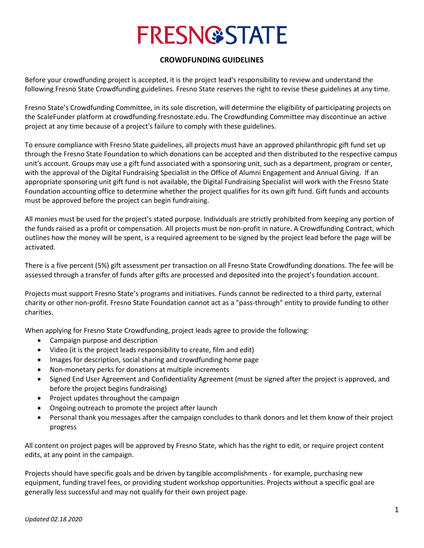# **FRESN@STATE**

#### **CROWDFUNDING GUIDELINES**

Before your crowdfunding project is accepted, it is the project lead's responsibility to review and understand the following Fresno State Crowdfunding guidelines. Fresno State reserves the right to revise these guidelines at any time.

Fresno State's Crowdfunding Committee, in its sole discretion, will determine the eligibility of participating projects on the ScaleFunder platform at crowdfunding.fresnostate.edu. The Crowdfunding Committee may discontinue an active project at any time because of a project's failure to comply with these guidelines.

To ensure compliance with Fresno State guidelines, all projects must have an approved philanthropic gift fund set up through the Fresno State Foundation to which donations can be accepted and then distributed to the respective campus unit's account. Groups may use a gift fund associated with a sponsoring unit, such as a department, program or center, with the approval of the Digital Fundraising Specialist in the Office of Alumni Engagement and Annual Giving. lf an appropriate sponsoring unit gift fund is not available, the Digital Fundraising Specialist will work with the Fresno State Foundation accounting office to determine whether the project qualifies for its own gift fund. Gift funds and accounts must be approved before the project can begin fundraising.

All monies must be used for the project's stated purpose. lndividuals are strictly prohibited from keeping any portion of the funds raised as a profit or compensation. All projects must be non-profit in nature. A Crowdfunding Contract, which outlines how the money will be spent, is a required agreement to be signed by the project lead before the page will be activated.

There is a five percent (5%) gift assessment per transaction on all Fresno State Crowdfunding donations. The fee will be assessed through a transfer of funds after gifts are processed and deposited into the project's foundation account.

Projects must support Fresno State's programs and initiatives. Funds cannot be redirected to a third party, external charity or other non-profit. Fresno State Foundation cannot act as a "pass-through" entity to provide funding to other charities.

When applying for Fresno State Crowdfunding, project leads agree to provide the following:

- Campaign purpose and description
- Video (it is the project leads responsibility to create, film and edit)
- lmages for description, social sharing and crowdfunding home page
- Non-monetary perks for donations at multiple increments
- Signed End User Agreement and Confidentiality Agreement (must be signed after the project is approved, and before the project begins fundraising)
- Project updates throughout the campaign
- Ongoing outreach to promote the project after launch
- Personal thank you messages after the campaign concludes to thank donors and let them know of their project progress

All content on project pages will be approved by Fresno State, which has the right to edit, or require project content edits, at any point in the campaign.

Projects should have specific goals and be driven by tangible accomplishments - for example, purchasing new equipment, funding travel fees, or providing student workshop opportunities. Projects without a specific goal are generally less successful and may not qualify for their own project page.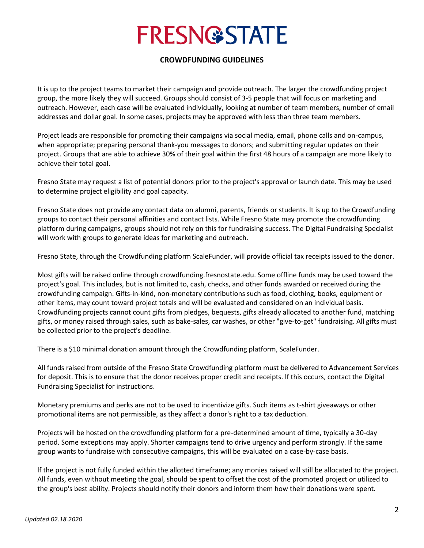## **FRESN@STATE**

#### **CROWDFUNDING GUIDELINES**

It is up to the project teams to market their campaign and provide outreach. The larger the crowdfunding project group, the more likely they will succeed. Groups should consist of 3-5 people that will focus on marketing and outreach. However, each case will be evaluated individually, looking at number of team members, number of email addresses and dollar goal. In some cases, projects may be approved with less than three team members.

Project leads are responsible for promoting their campaigns via social media, email, phone calls and on-campus, when appropriate; preparing personal thank-you messages to donors; and submitting regular updates on their project. Groups that are able to achieve 30% of their goal within the first 48 hours of a campaign are more likely to achieve their total goal.

Fresno State may request a list of potential donors prior to the project's approval or launch date. This may be used to determine project eligibility and goal capacity.

Fresno State does not provide any contact data on alumni, parents, friends or students. lt is up to the Crowdfunding groups to contact their personal affinities and contact lists. While Fresno State may promote the crowdfunding platform during campaigns, groups should not rely on this for fundraising success. The Digital Fundraising Specialist will work with groups to generate ideas for marketing and outreach.

Fresno State, through the Crowdfunding platform ScaleFunder, will provide official tax receipts issued to the donor.

Most gifts will be raised online through crowdfunding.fresnostate.edu. Some offline funds may be used toward the project's goal. This includes, but is not limited to, cash, checks, and other funds awarded or received during the crowdfunding campaign. Gifts-in-kind, non-monetary contributions such as food, clothing, books, equipment or other items, may count toward project totals and will be evaluated and considered on an individual basis. Crowdfunding projects cannot count gifts from pledges, bequests, gifts already allocated to another fund, matching gifts, or money raised through sales, such as bake-sales, car washes, or other "give-to-get" fundraising. All gifts must be collected prior to the project's deadline.

There is a \$10 minimal donation amount through the Crowdfunding platform, ScaleFunder.

All funds raised from outside of the Fresno State Crowdfunding platform must be delivered to Advancement Services for deposit. This is to ensure that the donor receives proper credit and receipts. lf this occurs, contact the Digital Fundraising Specialist for instructions.

Monetary premiums and perks are not to be used to incentivize gifts. Such items as t-shirt giveaways or other promotional items are not permissible, as they affect a donor's right to a tax deduction.

Projects will be hosted on the crowdfunding platform for a pre-determined amount of time, typically a 30-day period. Some exceptions may apply. Shorter campaigns tend to drive urgency and perform strongly. If the same group wants to fundraise with consecutive campaigns, this will be evaluated on a case-by-case basis.

lf the project is not fully funded within the allotted timeframe; any monies raised will still be allocated to the project. All funds, even without meeting the goal, should be spent to offset the cost of the promoted project or utilized to the group's best ability. Projects should notify their donors and inform them how their donations were spent.